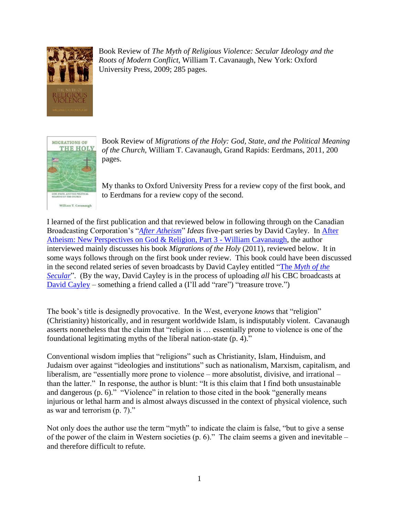

Book Review of *The Myth of Religious Violence: Secular Ideology and the Roots of Modern Conflict*, William T. Cavanaugh, New York: Oxford University Press, 2009; 285 pages.



Book Review of *Migrations of the Holy: God, State, and the Political Meaning of the Church*, William T. Cavanaugh, Grand Rapids: Eerdmans, 2011, 200 pages.

My thanks to Oxford University Press for a review copy of the first book, and to Eerdmans for a review copy of the second.

I learned of the first publication and that reviewed below in following through on the Canadian Broadcasting Corporation's "*[After Atheism](http://www.cbc.ca/books/2012/05/after-atheism-ideas-explores-new-perspectives-on-god-and-religion.html)*" *Ideas* five-part series by David Cayley. In [After](http://www.cbc.ca/ideas/episodes/2014/07/07/after-atheism-new-perspectives-on-god-and-religion-part-3-1/)  [Atheism: New Perspectives on God & Religion, Part 3 -](http://www.cbc.ca/ideas/episodes/2014/07/07/after-atheism-new-perspectives-on-god-and-religion-part-3-1/) William Cavanaugh, the author interviewed mainly discusses his book *Migrations of the Holy* (2011), reviewed below. It in some ways follows through on the first book under review. This book could have been discussed in the second related series of seven broadcasts by David Cayley entitled "The *[Myth of the](http://www.cbc.ca/ideas/episodes/2012/10/22/the-myth-of-the-secular-part-1/)  [Secular](http://www.cbc.ca/ideas/episodes/2012/10/22/the-myth-of-the-secular-part-1/)*". (By the way, David Cayley is in the process of uploading *all* his CBC broadcasts at [David Cayley](http://www.google.ca/url?sa=t&rct=j&q=&esrc=s&source=web&cd=2&cad=rja&uact=8&ved=0CCkQFjAB&url=http%3A%2F%2Fwww.davidcayley.com%2F&ei=zT6zVML6L4SyoQSaqYCYCA&usg=AFQjCNENqdKZqJHig3LviSPkx5fKRLy4hQ&bvm=bv.83339334,d.cGU) – something a friend called a (I'll add "rare") "treasure trove.")

The book's title is designedly provocative. In the West, everyone *knows* that "religion" (Christianity) historically, and in resurgent worldwide Islam, is indisputably violent. Cavanaugh asserts nonetheless that the claim that "religion is … essentially prone to violence is one of the foundational legitimating myths of the liberal nation-state (p. 4)."

Conventional wisdom implies that "religions" such as Christianity, Islam, Hinduism, and Judaism over against "ideologies and institutions" such as nationalism, Marxism, capitalism, and liberalism, are "essentially more prone to violence – more absolutist, divisive, and irrational – than the latter." In response, the author is blunt: "It is this claim that I find both unsustainable and dangerous (p. 6)." "Violence" in relation to those cited in the book "generally means injurious or lethal harm and is almost always discussed in the context of physical violence, such as war and terrorism (p. 7)."

Not only does the author use the term "myth" to indicate the claim is false, "but to give a sense of the power of the claim in Western societies (p. 6)." The claim seems a given and inevitable – and therefore difficult to refute.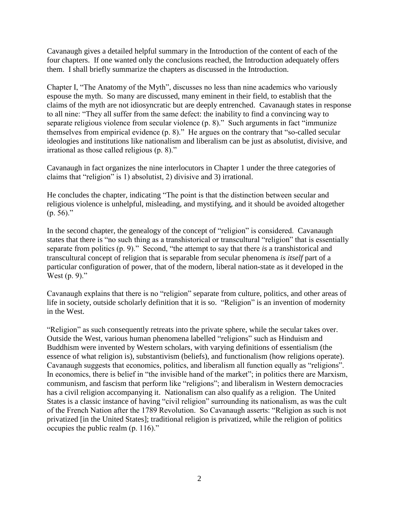Cavanaugh gives a detailed helpful summary in the Introduction of the content of each of the four chapters. If one wanted only the conclusions reached, the Introduction adequately offers them. I shall briefly summarize the chapters as discussed in the Introduction.

Chapter I, "The Anatomy of the Myth", discusses no less than nine academics who variously espouse the myth. So many are discussed, many eminent in their field, to establish that the claims of the myth are not idiosyncratic but are deeply entrenched. Cavanaugh states in response to all nine: "They all suffer from the same defect: the inability to find a convincing way to separate religious violence from secular violence (p. 8)." Such arguments in fact "immunize themselves from empirical evidence (p. 8)." He argues on the contrary that "so-called secular ideologies and institutions like nationalism and liberalism can be just as absolutist, divisive, and irrational as those called religious (p. 8)."

Cavanaugh in fact organizes the nine interlocutors in Chapter 1 under the three categories of claims that "religion" is 1) absolutist, 2) divisive and 3) irrational.

He concludes the chapter, indicating "The point is that the distinction between secular and religious violence is unhelpful, misleading, and mystifying, and it should be avoided altogether  $(p. 56)$ ."

In the second chapter, the genealogy of the concept of "religion" is considered. Cavanaugh states that there is "no such thing as a transhistorical or transcultural "religion" that is essentially separate from politics (p. 9)." Second, "the attempt to say that there *is* a transhistorical and transcultural concept of religion that is separable from secular phenomena *is itself* part of a particular configuration of power, that of the modern, liberal nation-state as it developed in the West (p. 9)."

Cavanaugh explains that there is no "religion" separate from culture, politics, and other areas of life in society, outside scholarly definition that it is so. "Religion" is an invention of modernity in the West.

"Religion" as such consequently retreats into the private sphere, while the secular takes over. Outside the West, various human phenomena labelled "religions" such as Hinduism and Buddhism were invented by Western scholars, with varying definitions of essentialism (the essence of what religion is), substantivism (beliefs), and functionalism (how religions operate). Cavanaugh suggests that economics, politics, and liberalism all function equally as "religions". In economics, there is belief in "the invisible hand of the market"; in politics there are Marxism, communism, and fascism that perform like "religions"; and liberalism in Western democracies has a civil religion accompanying it. Nationalism can also qualify as a religion. The United States is a classic instance of having "civil religion" surrounding its nationalism, as was the cult of the French Nation after the 1789 Revolution. So Cavanaugh asserts: "Religion as such is not privatized [in the United States]; traditional religion is privatized, while the religion of politics occupies the public realm (p. 116)."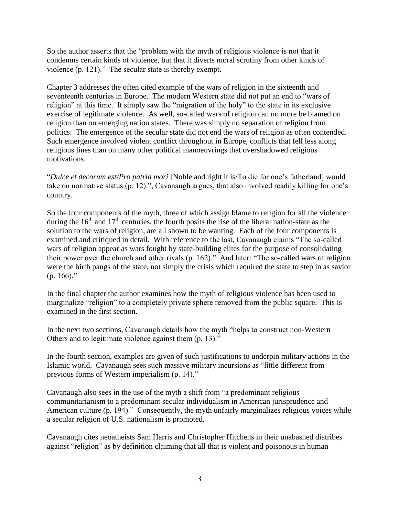So the author asserts that the "problem with the myth of religious violence is not that it condemns certain kinds of violence, but that it diverts moral scrutiny from other kinds of violence (p. 121)." The secular state is thereby exempt.

Chapter 3 addresses the often cited example of the wars of religion in the sixteenth and seventeenth centuries in Europe. The modern Western state did not put an end to "wars of religion" at this time. It simply saw the "migration of the holy" to the state in its exclusive exercise of legitimate violence. As well, so-called wars of religion can no more be blamed on religion than on emerging nation states. There was simply no separation of religion from politics. The emergence of the secular state did not end the wars of religion as often contended. Such emergence involved violent conflict throughout in Europe, conflicts that fell less along religious lines than on many other political manoeuvrings that overshadowed religious motivations.

"*Dulce et decorum est/Pro patria mori* [Noble and right it is/To die for one's fatherland] would take on normative status (p. 12).", Cavanaugh argues, that also involved readily killing for one's country.

So the four components of the myth, three of which assign blame to religion for all the violence during the  $16<sup>th</sup>$  and  $17<sup>th</sup>$  centuries, the fourth posits the rise of the liberal nation-state as the solution to the wars of religion, are all shown to be wanting. Each of the four components is examined and critiqued in detail. With reference to the last, Cavanaugh claims "The so-called wars of religion appear as wars fought by state-building elites for the purpose of consolidating their power over the church and other rivals (p. 162)." And later: "The so-called wars of religion were the birth pangs of the state, not simply the crisis which required the state to step in as savior  $(p. 166)$ ."

In the final chapter the author examines how the myth of religious violence has been used to marginalize "religion" to a completely private sphere removed from the public square. This is examined in the first section.

In the next two sections, Cavanaugh details how the myth "helps to construct non-Western Others and to legitimate violence against them (p. 13)."

In the fourth section, examples are given of such justifications to underpin military actions in the Islamic world. Cavanaugh sees such massive military incursions as "little different from previous forms of Western imperialism (p. 14)."

Cavanaugh also sees in the use of the myth a shift from "a predominant religious communitarianism to a predominant secular individualism in American jurisprudence and American culture (p. 194)." Consequently, the myth unfairly marginalizes religious voices while a secular religion of U.S. nationalism is promoted.

Cavanaugh cites neoatheists Sam Harris and Christopher Hitchens in their unabashed diatribes against "religion" as by definition claiming that all that is violent and poisonous in human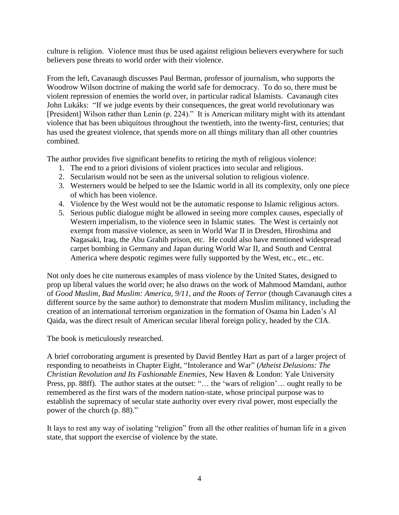culture is religion. Violence must thus be used against religious believers everywhere for such believers pose threats to world order with their violence.

From the left, Cavanaugh discusses Paul Berman, professor of journalism, who supports the Woodrow Wilson doctrine of making the world safe for democracy. To do so, there must be violent repression of enemies the world over, in particular radical Islamists. Cavanaugh cites John Lukáks: "If we judge events by their consequences, the great world revolutionary was [President] Wilson rather than Lenin (p. 224)." It is American military might with its attendant violence that has been ubiquitous throughout the twentieth, into the twenty-first, centuries; that has used the greatest violence, that spends more on all things military than all other countries combined.

The author provides five significant benefits to retiring the myth of religious violence:

- 1. The end to a priori divisions of violent practices into secular and religious.
- 2. Secularism would not be seen as the universal solution to religious violence.
- 3. Westerners would be helped to see the Islamic world in all its complexity, only one piece of which has been violence.
- 4. Violence by the West would not be the automatic response to Islamic religious actors.
- 5. Serious public dialogue might be allowed in seeing more complex causes, especially of Western imperialism, to the violence seen in Islamic states. The West is certainly not exempt from massive violence, as seen in World War II in Dresden, Hiroshima and Nagasaki, Iraq, the Abu Grahib prison, etc. He could also have mentioned widespread carpet bombing in Germany and Japan during World War II, and South and Central America where despotic regimes were fully supported by the West, etc., etc., etc.

Not only does he cite numerous examples of mass violence by the United States, designed to prop up liberal values the world over; he also draws on the work of Mahmood Mamdani, author of *Good Muslim, Bad Muslim: America, 9/11, and the Roots of Terror* (though Cavanaugh cites a different source by the same author) to demonstrate that modern Muslim militancy, including the creation of an international terrorism organization in the formation of Osama bin Laden's Al Qaida, was the direct result of American secular liberal foreign policy, headed by the CIA.

The book is meticulously researched.

A brief corroborating argument is presented by David Bentley Hart as part of a larger project of responding to neoatheists in Chapter Eight, "Intolerance and War" (*Atheist Delusions: The Christian Revolution and Its Fashionable Enemies*, New Haven & London: Yale University Press, pp. 88ff). The author states at the outset: "… the 'wars of religion'… ought really to be remembered as the first wars of the modern nation-state, whose principal purpose was to establish the supremacy of secular state authority over every rival power, most especially the power of the church (p. 88)."

It lays to rest any way of isolating "religion" from all the other realities of human life in a given state, that support the exercise of violence by the state.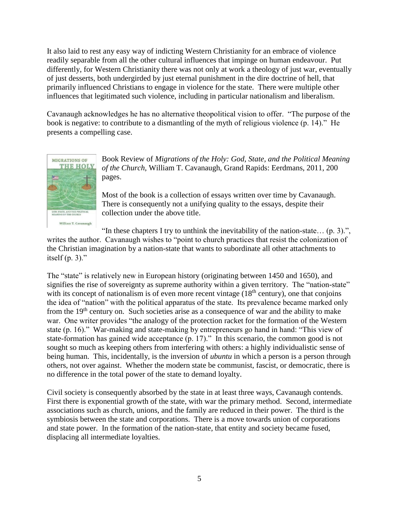It also laid to rest any easy way of indicting Western Christianity for an embrace of violence readily separable from all the other cultural influences that impinge on human endeavour. Put differently, for Western Christianity there was not only at work a theology of just war, eventually of just desserts, both undergirded by just eternal punishment in the dire doctrine of hell, that primarily influenced Christians to engage in violence for the state. There were multiple other influences that legitimated such violence, including in particular nationalism and liberalism.

Cavanaugh acknowledges he has no alternative theopolitical vision to offer. "The purpose of the book is negative: to contribute to a dismantling of the myth of religious violence (p. 14)." He presents a compelling case.



Book Review of *Migrations of the Holy: God, State, and the Political Meaning of the Church*, William T. Cavanaugh, Grand Rapids: Eerdmans, 2011, 200 pages.

Most of the book is a collection of essays written over time by Cavanaugh. There is consequently not a unifying quality to the essays, despite their collection under the above title.

"In these chapters I try to unthink the inevitability of the nation-state...  $(p, 3)$ .",

writes the author. Cavanaugh wishes to "point to church practices that resist the colonization of the Christian imagination by a nation-state that wants to subordinate all other attachments to itself  $(p. 3)$ ."

The "state" is relatively new in European history (originating between 1450 and 1650), and signifies the rise of sovereignty as supreme authority within a given territory. The "nation-state" with its concept of nationalism is of even more recent vintage  $(18<sup>th</sup>$  century), one that conjoins the idea of "nation" with the political apparatus of the state. Its prevalence became marked only from the 19th century on. Such societies arise as a consequence of war and the ability to make war. One writer provides "the analogy of the protection racket for the formation of the Western state (p. 16)." War-making and state-making by entrepreneurs go hand in hand: "This view of state-formation has gained wide acceptance (p. 17)." In this scenario, the common good is not sought so much as keeping others from interfering with others: a highly individualistic sense of being human. This, incidentally, is the inversion of *ubuntu* in which a person is a person through others, not over against. Whether the modern state be communist, fascist, or democratic, there is no difference in the total power of the state to demand loyalty.

Civil society is consequently absorbed by the state in at least three ways, Cavanaugh contends. First there is exponential growth of the state, with war the primary method. Second, intermediate associations such as church, unions, and the family are reduced in their power. The third is the symbiosis between the state and corporations. There is a move towards union of corporations and state power. In the formation of the nation-state, that entity and society became fused, displacing all intermediate loyalties.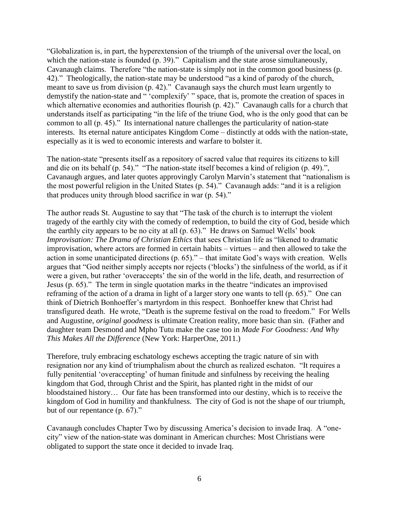"Globalization is, in part, the hyperextension of the triumph of the universal over the local, on which the nation-state is founded (p. 39)." Capitalism and the state arose simultaneously, Cavanaugh claims. Therefore "the nation-state is simply not in the common good business (p. 42)." Theologically, the nation-state may be understood "as a kind of parody of the church, meant to save us from division (p. 42)." Cavanaugh says the church must learn urgently to demystify the nation-state and " 'complexify' " space, that is, promote the creation of spaces in which alternative economies and authorities flourish (p. 42)." Cavanaugh calls for a church that understands itself as participating "in the life of the triune God, who is the only good that can be common to all (p. 45)." Its international nature challenges the particularity of nation-state interests. Its eternal nature anticipates Kingdom Come – distinctly at odds with the nation-state, especially as it is wed to economic interests and warfare to bolster it.

The nation-state "presents itself as a repository of sacred value that requires its citizens to kill and die on its behalf (p. 54)." "The nation-state itself becomes a kind of religion (p. 49).", Cavanaugh argues, and later quotes approvingly Carolyn Marvin's statement that "nationalism is the most powerful religion in the United States (p. 54)." Cavanaugh adds: "and it is a religion that produces unity through blood sacrifice in war (p. 54)."

The author reads St. Augustine to say that "The task of the church is to interrupt the violent tragedy of the earthly city with the comedy of redemption, to build the city of God, beside which the earthly city appears to be no city at all (p. 63)." He draws on Samuel Wells' book *Improvisation: The Drama of Christian Ethics* that sees Christian life as "likened to dramatic improvisation, where actors are formed in certain habits – virtues – and then allowed to take the action in some unanticipated directions (p. 65)." – that imitate God's ways with creation. Wells argues that "God neither simply accepts nor rejects ('blocks') the sinfulness of the world, as if it were a given, but rather 'overaccepts' the sin of the world in the life, death, and resurrection of Jesus (p. 65)." The term in single quotation marks in the theatre "indicates an improvised reframing of the action of a drama in light of a larger story one wants to tell (p. 65)." One can think of Dietrich Bonhoeffer's martyrdom in this respect. Bonhoeffer knew that Christ had transfigured death. He wrote, "Death is the supreme festival on the road to freedom." For Wells and Augustine, *original goodness* is ultimate Creation reality, more basic than sin. (Father and daughter team Desmond and Mpho Tutu make the case too in *Made For Goodness: And Why This Makes All the Difference* (New York: HarperOne, 2011.)

Therefore, truly embracing eschatology eschews accepting the tragic nature of sin with resignation nor any kind of triumphalism about the church as realized eschaton. "It requires a fully penitential 'overaccepting' of human finitude and sinfulness by receiving the healing kingdom that God, through Christ and the Spirit, has planted right in the midst of our bloodstained history… Our fate has been transformed into our destiny, which is to receive the kingdom of God in humility and thankfulness. The city of God is not the shape of our triumph, but of our repentance (p. 67)."

Cavanaugh concludes Chapter Two by discussing America's decision to invade Iraq. A "onecity" view of the nation-state was dominant in American churches: Most Christians were obligated to support the state once it decided to invade Iraq.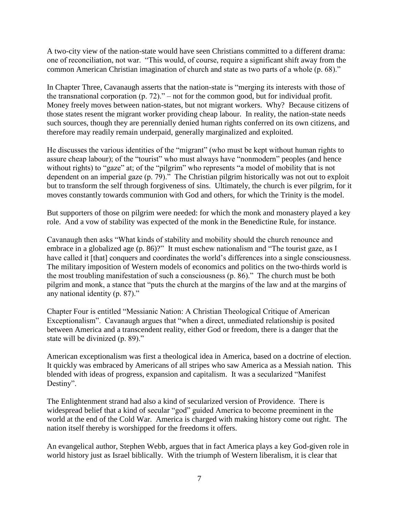A two-city view of the nation-state would have seen Christians committed to a different drama: one of reconciliation, not war. "This would, of course, require a significant shift away from the common American Christian imagination of church and state as two parts of a whole (p. 68)."

In Chapter Three, Cavanaugh asserts that the nation-state is "merging its interests with those of the transnational corporation (p. 72)." – not for the common good, but for individual profit. Money freely moves between nation-states, but not migrant workers. Why? Because citizens of those states resent the migrant worker providing cheap labour. In reality, the nation-state needs such sources, though they are perennially denied human rights conferred on its own citizens, and therefore may readily remain underpaid, generally marginalized and exploited.

He discusses the various identities of the "migrant" (who must be kept without human rights to assure cheap labour); of the "tourist" who must always have "nonmodern" peoples (and hence without rights) to "gaze" at; of the "pilgrim" who represents "a model of mobility that is not dependent on an imperial gaze (p. 79)." The Christian pilgrim historically was not out to exploit but to transform the self through forgiveness of sins. Ultimately, the church is ever pilgrim, for it moves constantly towards communion with God and others, for which the Trinity is the model.

But supporters of those on pilgrim were needed: for which the monk and monastery played a key role. And a vow of stability was expected of the monk in the Benedictine Rule, for instance.

Cavanaugh then asks "What kinds of stability and mobility should the church renounce and embrace in a globalized age (p. 86)?" It must eschew nationalism and "The tourist gaze, as I have called it [that] conquers and coordinates the world's differences into a single consciousness. The military imposition of Western models of economics and politics on the two-thirds world is the most troubling manifestation of such a consciousness (p. 86)." The church must be both pilgrim and monk, a stance that "puts the church at the margins of the law and at the margins of any national identity (p. 87)."

Chapter Four is entitled "Messianic Nation: A Christian Theological Critique of American Exceptionalism". Cavanaugh argues that "when a direct, unmediated relationship is posited between America and a transcendent reality, either God or freedom, there is a danger that the state will be divinized (p. 89)."

American exceptionalism was first a theological idea in America, based on a doctrine of election. It quickly was embraced by Americans of all stripes who saw America as a Messiah nation. This blended with ideas of progress, expansion and capitalism. It was a secularized "Manifest Destiny".

The Enlightenment strand had also a kind of secularized version of Providence. There is widespread belief that a kind of secular "god" guided America to become preeminent in the world at the end of the Cold War. America is charged with making history come out right. The nation itself thereby is worshipped for the freedoms it offers.

An evangelical author, Stephen Webb, argues that in fact America plays a key God-given role in world history just as Israel biblically. With the triumph of Western liberalism, it is clear that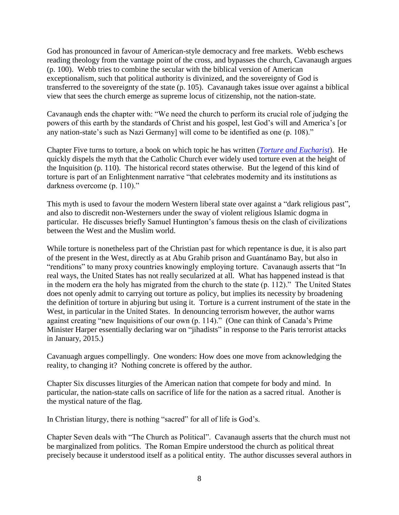God has pronounced in favour of American-style democracy and free markets. Webb eschews reading theology from the vantage point of the cross, and bypasses the church, Cavanaugh argues (p. 100). Webb tries to combine the secular with the biblical version of American exceptionalism, such that political authority is divinized, and the sovereignty of God is transferred to the sovereignty of the state (p. 105). Cavanaugh takes issue over against a biblical view that sees the church emerge as supreme locus of citizenship, not the nation-state.

Cavanaugh ends the chapter with: "We need the church to perform its crucial role of judging the powers of this earth by the standards of Christ and his gospel, lest God's will and America's [or any nation-state's such as Nazi Germany] will come to be identified as one (p. 108)."

Chapter Five turns to torture, a book on which topic he has written (*[Torture and Eucharist](http://www.google.ca/url?sa=t&rct=j&q=&esrc=s&source=web&cd=2&cad=rja&uact=8&ved=0CCgQFjAB&url=http%3A%2F%2Fwww.amazon.ca%2FTorture-Eucharist-Theology-Politics-Christ%2Fdp%2F0631211993&ei=QKI1VKqiO8itogSN14G4DA&usg=AFQjCNFMyodO9H2zfrnS7QqfNruHAxS9AQ&bvm=bv.76943099,d.cGU)*). He quickly dispels the myth that the Catholic Church ever widely used torture even at the height of the Inquisition (p. 110). The historical record states otherwise. But the legend of this kind of torture is part of an Enlightenment narrative "that celebrates modernity and its institutions as darkness overcome (p. 110)."

This myth is used to favour the modern Western liberal state over against a "dark religious past", and also to discredit non-Westerners under the sway of violent religious Islamic dogma in particular. He discusses briefly Samuel Huntington's famous thesis on the clash of civilizations between the West and the Muslim world.

While torture is nonetheless part of the Christian past for which repentance is due, it is also part of the present in the West, directly as at Abu Grahib prison and Guantánamo Bay, but also in "renditions" to many proxy countries knowingly employing torture. Cavanaugh asserts that "In real ways, the United States has not really secularized at all. What has happened instead is that in the modern era the holy has migrated from the church to the state (p. 112)." The United States does not openly admit to carrying out torture as policy, but implies its necessity by broadening the definition of torture in abjuring but using it. Torture is a current instrument of the state in the West, in particular in the United States. In denouncing terrorism however, the author warns against creating "new Inquisitions of our own (p. 114)." (One can think of Canada's Prime Minister Harper essentially declaring war on "jihadists" in response to the Paris terrorist attacks in January, 2015.)

Cavanuagh argues compellingly. One wonders: How does one move from acknowledging the reality, to changing it? Nothing concrete is offered by the author.

Chapter Six discusses liturgies of the American nation that compete for body and mind. In particular, the nation-state calls on sacrifice of life for the nation as a sacred ritual. Another is the mystical nature of the flag.

In Christian liturgy, there is nothing "sacred" for all of life is God's.

Chapter Seven deals with "The Church as Political". Cavanaugh asserts that the church must not be marginalized from politics. The Roman Empire understood the church as political threat precisely because it understood itself as a political entity. The author discusses several authors in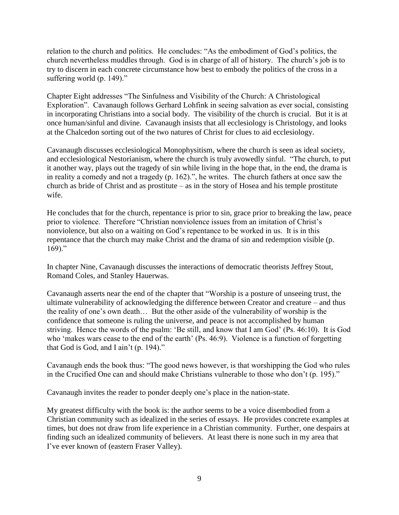relation to the church and politics. He concludes: "As the embodiment of God's politics, the church nevertheless muddles through. God is in charge of all of history. The church's job is to try to discern in each concrete circumstance how best to embody the politics of the cross in a suffering world (p. 149)."

Chapter Eight addresses "The Sinfulness and Visibility of the Church: A Christological Exploration". Cavanaugh follows Gerhard Lohfink in seeing salvation as ever social, consisting in incorporating Christians into a social body. The visibility of the church is crucial. But it is at once human/sinful and divine. Cavanaugh insists that all ecclesiology is Christology, and looks at the Chalcedon sorting out of the two natures of Christ for clues to aid ecclesiology.

Cavanaugh discusses ecclesiological Monophysitism, where the church is seen as ideal society, and ecclesiological Nestorianism, where the church is truly avowedly sinful. "The church, to put it another way, plays out the tragedy of sin while living in the hope that, in the end, the drama is in reality a comedy and not a tragedy (p. 162).", he writes. The church fathers at once saw the church as bride of Christ and as prostitute – as in the story of Hosea and his temple prostitute wife.

He concludes that for the church, repentance is prior to sin, grace prior to breaking the law, peace prior to violence. Therefore "Christian nonviolence issues from an imitation of Christ's nonviolence, but also on a waiting on God's repentance to be worked in us. It is in this repentance that the church may make Christ and the drama of sin and redemption visible (p.  $169$ ."

In chapter Nine, Cavanaugh discusses the interactions of democratic theorists Jeffrey Stout, Romand Coles, and Stanley Hauerwas.

Cavanaugh asserts near the end of the chapter that "Worship is a posture of unseeing trust, the ultimate vulnerability of acknowledging the difference between Creator and creature – and thus the reality of one's own death… But the other aside of the vulnerability of worship is the confidence that someone is ruling the universe, and peace is not accomplished by human striving. Hence the words of the psalm: 'Be still, and know that I am God' (Ps. 46:10). It is God who 'makes wars cease to the end of the earth' (Ps. 46:9). Violence is a function of forgetting that God is God, and I ain't (p. 194)."

Cavanaugh ends the book thus: "The good news however, is that worshipping the God who rules in the Crucified One can and should make Christians vulnerable to those who don't (p. 195)."

Cavanaugh invites the reader to ponder deeply one's place in the nation-state.

My greatest difficulty with the book is: the author seems to be a voice disembodied from a Christian community such as idealized in the series of essays. He provides concrete examples at times, but does not draw from life experience in a Christian community. Further, one despairs at finding such an idealized community of believers. At least there is none such in my area that I've ever known of (eastern Fraser Valley).